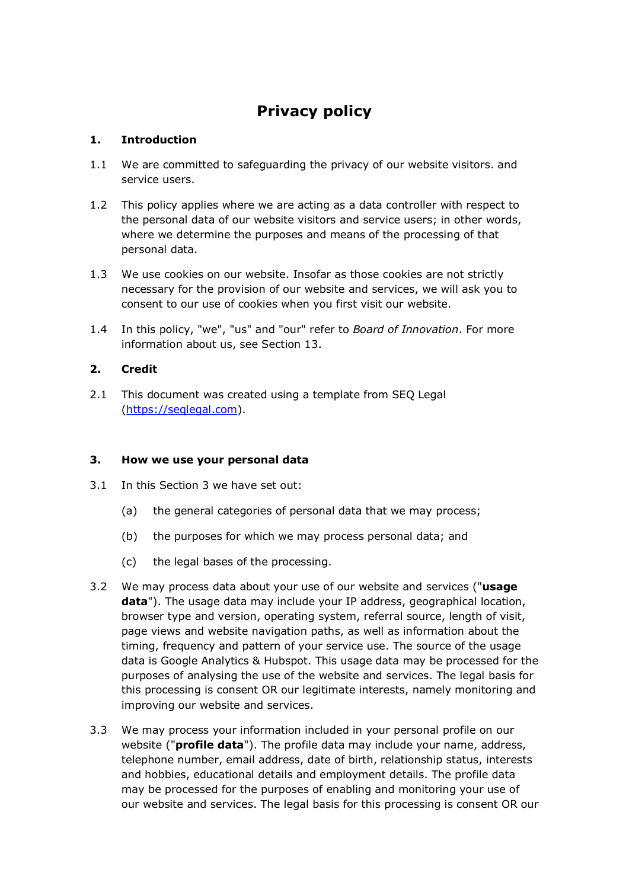# **Privacy policy**

# **1. Introduction**

- 1.1 We are committed to safeguarding the privacy of our website visitors. and service users.
- 1.2 This policy applies where we are acting as a data controller with respect to the personal data of our website visitors and service users; in other words, where we determine the purposes and means of the processing of that personal data.
- 1.3 We use cookies on our website. Insofar as those cookies are not strictly necessary for the provision of our website and services, we will ask you to consent to our use of cookies when you first visit our website.
- 1.4 In this policy, "we", "us" and "our" refer to *Board of Innovation*. For more information about us, see Section 13.

# **2. Credit**

2.1 This document was created using a template from SEQ Legal (https://seqlegal.com).

## **3. How we use your personal data**

- 3.1 In this Section 3 we have set out:
	- (a) the general categories of personal data that we may process;
	- (b) the purposes for which we may process personal data; and
	- (c) the legal bases of the processing.
- 3.2 We may process data about your use of our website and services ("**usage data**"). The usage data may include your IP address, geographical location, browser type and version, operating system, referral source, length of visit, page views and website navigation paths, as well as information about the timing, frequency and pattern of your service use. The source of the usage data is Google Analytics & Hubspot. This usage data may be processed for the purposes of analysing the use of the website and services. The legal basis for this processing is consent OR our legitimate interests, namely monitoring and improving our website and services.
- 3.3 We may process your information included in your personal profile on our website ("**profile data**"). The profile data may include your name, address, telephone number, email address, date of birth, relationship status, interests and hobbies, educational details and employment details. The profile data may be processed for the purposes of enabling and monitoring your use of our website and services. The legal basis for this processing is consent OR our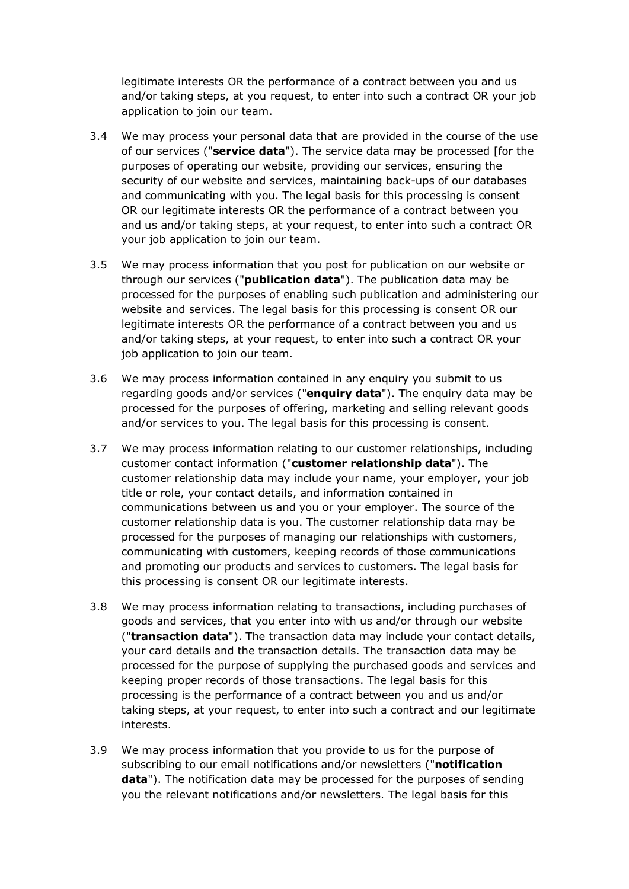legitimate interests OR the performance of a contract between you and us and/or taking steps, at you request, to enter into such a contract OR your job application to join our team.

- 3.4 We may process your personal data that are provided in the course of the use of our services ("**service data**"). The service data may be processed [for the purposes of operating our website, providing our services, ensuring the security of our website and services, maintaining back-ups of our databases and communicating with you. The legal basis for this processing is consent OR our legitimate interests OR the performance of a contract between you and us and/or taking steps, at your request, to enter into such a contract OR your job application to join our team.
- 3.5 We may process information that you post for publication on our website or through our services ("**publication data**"). The publication data may be processed for the purposes of enabling such publication and administering our website and services. The legal basis for this processing is consent OR our legitimate interests OR the performance of a contract between you and us and/or taking steps, at your request, to enter into such a contract OR your job application to join our team.
- 3.6 We may process information contained in any enquiry you submit to us regarding goods and/or services ("**enquiry data**"). The enquiry data may be processed for the purposes of offering, marketing and selling relevant goods and/or services to you. The legal basis for this processing is consent.
- 3.7 We may process information relating to our customer relationships, including customer contact information ("**customer relationship data**"). The customer relationship data may include your name, your employer, your job title or role, your contact details, and information contained in communications between us and you or your employer. The source of the customer relationship data is you. The customer relationship data may be processed for the purposes of managing our relationships with customers, communicating with customers, keeping records of those communications and promoting our products and services to customers. The legal basis for this processing is consent OR our legitimate interests.
- 3.8 We may process information relating to transactions, including purchases of goods and services, that you enter into with us and/or through our website ("**transaction data**"). The transaction data may include your contact details, your card details and the transaction details. The transaction data may be processed for the purpose of supplying the purchased goods and services and keeping proper records of those transactions. The legal basis for this processing is the performance of a contract between you and us and/or taking steps, at your request, to enter into such a contract and our legitimate interests.
- 3.9 We may process information that you provide to us for the purpose of subscribing to our email notifications and/or newsletters ("**notification data**"). The notification data may be processed for the purposes of sending you the relevant notifications and/or newsletters. The legal basis for this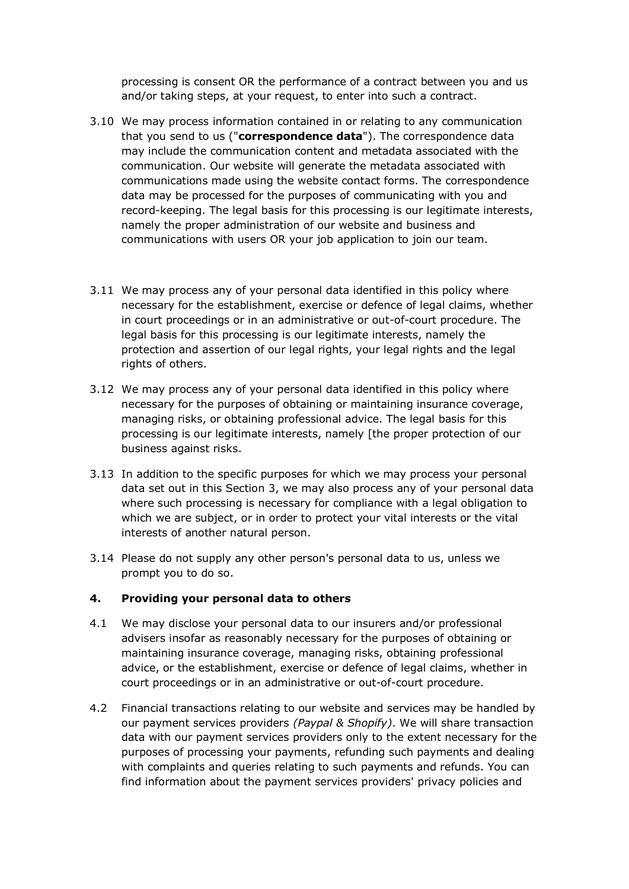processing is consent OR the performance of a contract between you and us and/or taking steps, at your request, to enter into such a contract.

- 3.10 We may process information contained in or relating to any communication that you send to us ("**correspondence data**"). The correspondence data may include the communication content and metadata associated with the communication. Our website will generate the metadata associated with communications made using the website contact forms. The correspondence data may be processed for the purposes of communicating with you and record-keeping. The legal basis for this processing is our legitimate interests, namely the proper administration of our website and business and communications with users OR your job application to join our team.
- 3.11 We may process any of your personal data identified in this policy where necessary for the establishment, exercise or defence of legal claims, whether in court proceedings or in an administrative or out-of-court procedure. The legal basis for this processing is our legitimate interests, namely the protection and assertion of our legal rights, your legal rights and the legal rights of others.
- 3.12 We may process any of your personal data identified in this policy where necessary for the purposes of obtaining or maintaining insurance coverage, managing risks, or obtaining professional advice. The legal basis for this processing is our legitimate interests, namely [the proper protection of our business against risks.
- 3.13 In addition to the specific purposes for which we may process your personal data set out in this Section 3, we may also process any of your personal data where such processing is necessary for compliance with a legal obligation to which we are subject, or in order to protect your vital interests or the vital interests of another natural person.
- 3.14 Please do not supply any other person's personal data to us, unless we prompt you to do so.

#### **4. Providing your personal data to others**

- 4.1 We may disclose your personal data to our insurers and/or professional advisers insofar as reasonably necessary for the purposes of obtaining or maintaining insurance coverage, managing risks, obtaining professional advice, or the establishment, exercise or defence of legal claims, whether in court proceedings or in an administrative or out-of-court procedure.
- 4.2 Financial transactions relating to our website and services may be handled by our payment services providers *(Paypal & Shopify)*. We will share transaction data with our payment services providers only to the extent necessary for the purposes of processing your payments, refunding such payments and dealing with complaints and queries relating to such payments and refunds. You can find information about the payment services providers' privacy policies and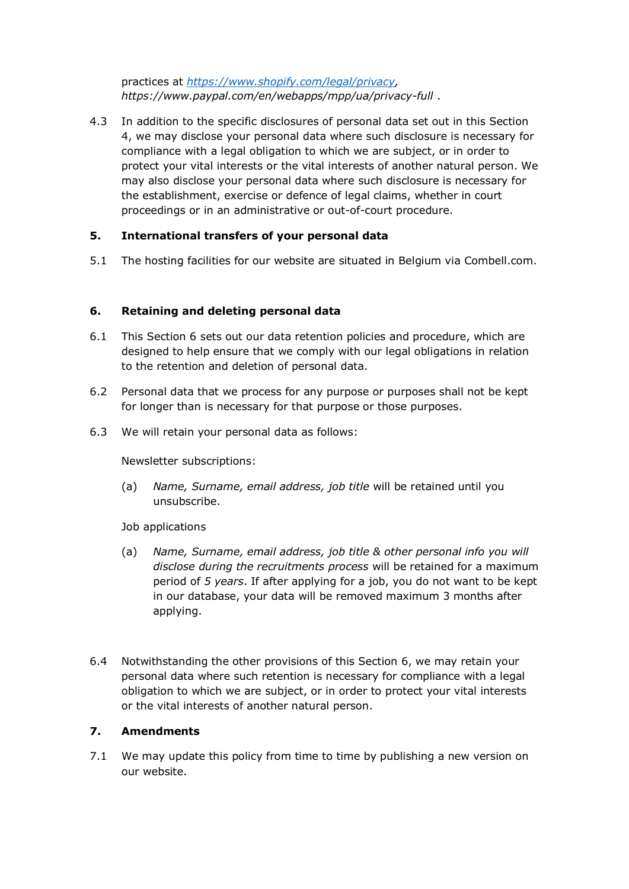practices at *https://www.shopify.com/legal/privacy, https://www.paypal.com/en/webapps/mpp/ua/privacy-full* .

4.3 In addition to the specific disclosures of personal data set out in this Section 4, we may disclose your personal data where such disclosure is necessary for compliance with a legal obligation to which we are subject, or in order to protect your vital interests or the vital interests of another natural person. We may also disclose your personal data where such disclosure is necessary for the establishment, exercise or defence of legal claims, whether in court proceedings or in an administrative or out-of-court procedure.

# **5. International transfers of your personal data**

5.1 The hosting facilities for our website are situated in Belgium via Combell.com.

## **6. Retaining and deleting personal data**

- 6.1 This Section 6 sets out our data retention policies and procedure, which are designed to help ensure that we comply with our legal obligations in relation to the retention and deletion of personal data.
- 6.2 Personal data that we process for any purpose or purposes shall not be kept for longer than is necessary for that purpose or those purposes.
- 6.3 We will retain your personal data as follows:

Newsletter subscriptions:

(a) *Name, Surname, email address, job title* will be retained until you unsubscribe.

Job applications

- (a) *Name, Surname, email address, job title & other personal info you will disclose during the recruitments process* will be retained for a maximum period of *5 years*. If after applying for a job, you do not want to be kept in our database, your data will be removed maximum 3 months after applying.
- 6.4 Notwithstanding the other provisions of this Section 6, we may retain your personal data where such retention is necessary for compliance with a legal obligation to which we are subject, or in order to protect your vital interests or the vital interests of another natural person.

## **7. Amendments**

7.1 We may update this policy from time to time by publishing a new version on our website.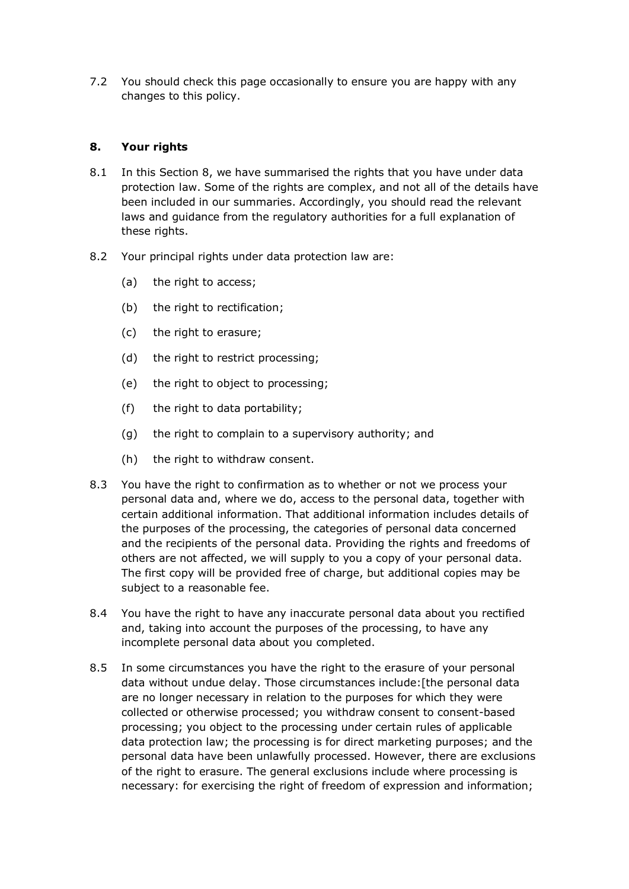7.2 You should check this page occasionally to ensure you are happy with any changes to this policy.

# **8. Your rights**

- 8.1 In this Section 8, we have summarised the rights that you have under data protection law. Some of the rights are complex, and not all of the details have been included in our summaries. Accordingly, you should read the relevant laws and guidance from the regulatory authorities for a full explanation of these rights.
- 8.2 Your principal rights under data protection law are:
	- (a) the right to access;
	- (b) the right to rectification;
	- (c) the right to erasure;
	- (d) the right to restrict processing;
	- (e) the right to object to processing;
	- (f) the right to data portability;
	- (g) the right to complain to a supervisory authority; and
	- (h) the right to withdraw consent.
- 8.3 You have the right to confirmation as to whether or not we process your personal data and, where we do, access to the personal data, together with certain additional information. That additional information includes details of the purposes of the processing, the categories of personal data concerned and the recipients of the personal data. Providing the rights and freedoms of others are not affected, we will supply to you a copy of your personal data. The first copy will be provided free of charge, but additional copies may be subject to a reasonable fee.
- 8.4 You have the right to have any inaccurate personal data about you rectified and, taking into account the purposes of the processing, to have any incomplete personal data about you completed.
- 8.5 In some circumstances you have the right to the erasure of your personal data without undue delay. Those circumstances include:[the personal data are no longer necessary in relation to the purposes for which they were collected or otherwise processed; you withdraw consent to consent-based processing; you object to the processing under certain rules of applicable data protection law; the processing is for direct marketing purposes; and the personal data have been unlawfully processed. However, there are exclusions of the right to erasure. The general exclusions include where processing is necessary: for exercising the right of freedom of expression and information;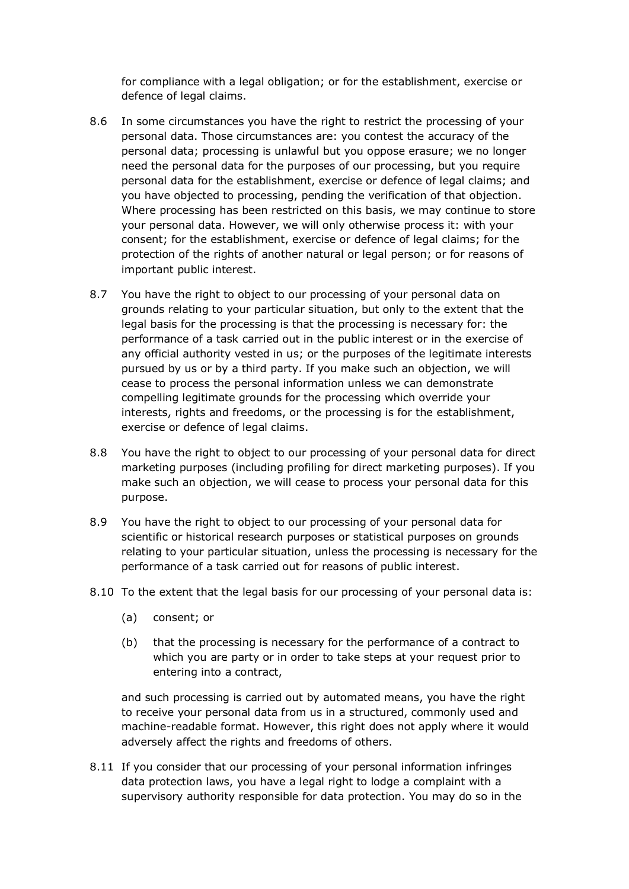for compliance with a legal obligation; or for the establishment, exercise or defence of legal claims.

- 8.6 In some circumstances you have the right to restrict the processing of your personal data. Those circumstances are: you contest the accuracy of the personal data; processing is unlawful but you oppose erasure; we no longer need the personal data for the purposes of our processing, but you require personal data for the establishment, exercise or defence of legal claims; and you have objected to processing, pending the verification of that objection. Where processing has been restricted on this basis, we may continue to store your personal data. However, we will only otherwise process it: with your consent; for the establishment, exercise or defence of legal claims; for the protection of the rights of another natural or legal person; or for reasons of important public interest.
- 8.7 You have the right to object to our processing of your personal data on grounds relating to your particular situation, but only to the extent that the legal basis for the processing is that the processing is necessary for: the performance of a task carried out in the public interest or in the exercise of any official authority vested in us; or the purposes of the legitimate interests pursued by us or by a third party. If you make such an objection, we will cease to process the personal information unless we can demonstrate compelling legitimate grounds for the processing which override your interests, rights and freedoms, or the processing is for the establishment, exercise or defence of legal claims.
- 8.8 You have the right to object to our processing of your personal data for direct marketing purposes (including profiling for direct marketing purposes). If you make such an objection, we will cease to process your personal data for this purpose.
- 8.9 You have the right to object to our processing of your personal data for scientific or historical research purposes or statistical purposes on grounds relating to your particular situation, unless the processing is necessary for the performance of a task carried out for reasons of public interest.
- 8.10 To the extent that the legal basis for our processing of your personal data is:
	- (a) consent; or
	- (b) that the processing is necessary for the performance of a contract to which you are party or in order to take steps at your request prior to entering into a contract,

and such processing is carried out by automated means, you have the right to receive your personal data from us in a structured, commonly used and machine-readable format. However, this right does not apply where it would adversely affect the rights and freedoms of others.

8.11 If you consider that our processing of your personal information infringes data protection laws, you have a legal right to lodge a complaint with a supervisory authority responsible for data protection. You may do so in the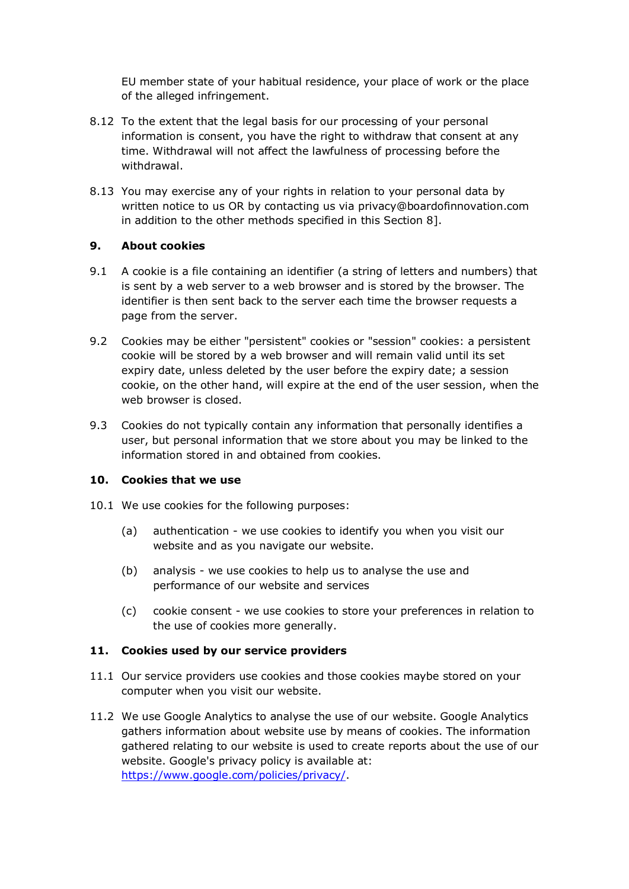EU member state of your habitual residence, your place of work or the place of the alleged infringement.

- 8.12 To the extent that the legal basis for our processing of your personal information is consent, you have the right to withdraw that consent at any time. Withdrawal will not affect the lawfulness of processing before the withdrawal.
- 8.13 You may exercise any of your rights in relation to your personal data by written notice to us OR by contacting us via privacy@boardofinnovation.com in addition to the other methods specified in this Section 8].

## **9. About cookies**

- 9.1 A cookie is a file containing an identifier (a string of letters and numbers) that is sent by a web server to a web browser and is stored by the browser. The identifier is then sent back to the server each time the browser requests a page from the server.
- 9.2 Cookies may be either "persistent" cookies or "session" cookies: a persistent cookie will be stored by a web browser and will remain valid until its set expiry date, unless deleted by the user before the expiry date; a session cookie, on the other hand, will expire at the end of the user session, when the web browser is closed.
- 9.3 Cookies do not typically contain any information that personally identifies a user, but personal information that we store about you may be linked to the information stored in and obtained from cookies.

# **10. Cookies that we use**

- 10.1 We use cookies for the following purposes:
	- (a) authentication we use cookies to identify you when you visit our website and as you navigate our website.
	- (b) analysis we use cookies to help us to analyse the use and performance of our website and services
	- (c) cookie consent we use cookies to store your preferences in relation to the use of cookies more generally.

#### **11. Cookies used by our service providers**

- 11.1 Our service providers use cookies and those cookies maybe stored on your computer when you visit our website.
- 11.2 We use Google Analytics to analyse the use of our website. Google Analytics gathers information about website use by means of cookies. The information gathered relating to our website is used to create reports about the use of our website. Google's privacy policy is available at: https://www.google.com/policies/privacy/.